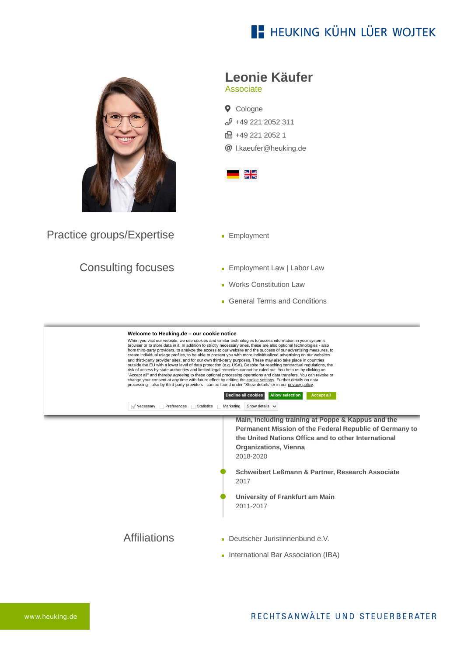## **E- HEUKING KÜHN LÜER WOJTEK**



Practice groups/Expertise

## Consulting focuses

**Leonie Käufer**

Associate

**Q** Cologne  $$49$  221 2052 311 **品 +49 221 2052 1** [l.kaeufer@heuking.de](mailto:l.kaeufer@heuking.de?subject=Contact%20via%20website%20heuking.de)



- **Employment**
- **Employment Law | Labor Law**
- **Works Constitution Law**
- General Terms and Conditions